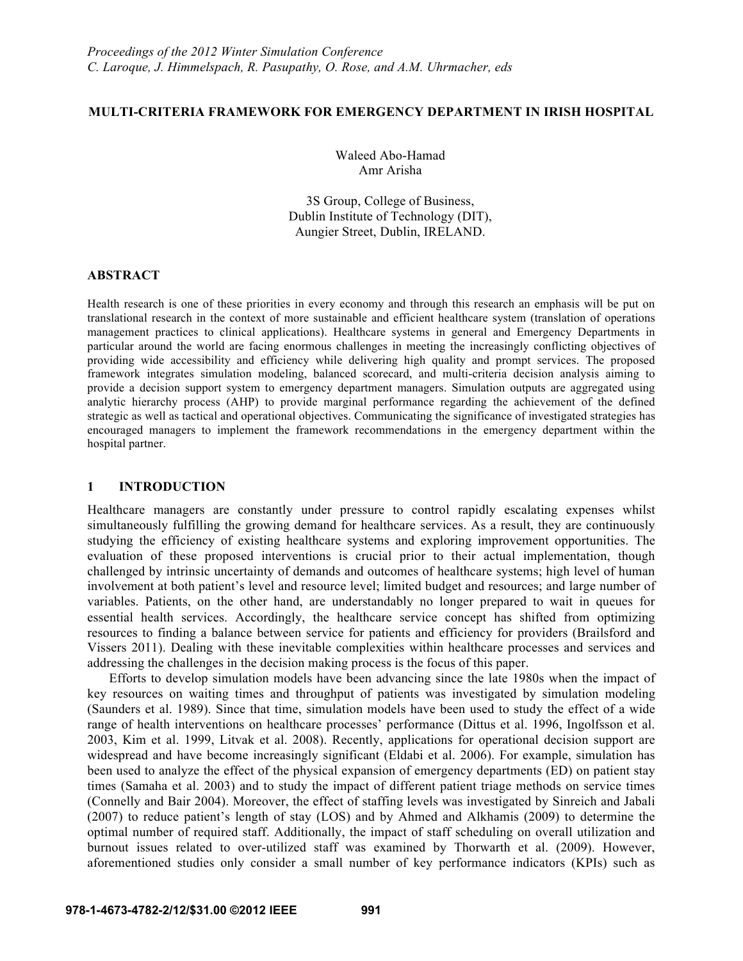#### **MULTI-CRITERIA FRAMEWORK FOR EMERGENCY DEPARTMENT IN IRISH HOSPITAL**

Waleed Abo-Hamad Amr Arisha

3S Group, College of Business, Dublin Institute of Technology (DIT), Aungier Street, Dublin, IRELAND.

#### **ABSTRACT**

Health research is one of these priorities in every economy and through this research an emphasis will be put on translational research in the context of more sustainable and efficient healthcare system (translation of operations management practices to clinical applications). Healthcare systems in general and Emergency Departments in particular around the world are facing enormous challenges in meeting the increasingly conflicting objectives of providing wide accessibility and efficiency while delivering high quality and prompt services. The proposed framework integrates simulation modeling, balanced scorecard, and multi-criteria decision analysis aiming to provide a decision support system to emergency department managers. Simulation outputs are aggregated using analytic hierarchy process (AHP) to provide marginal performance regarding the achievement of the defined strategic as well as tactical and operational objectives. Communicating the significance of investigated strategies has encouraged managers to implement the framework recommendations in the emergency department within the hospital partner.

## **1 INTRODUCTION**

Healthcare managers are constantly under pressure to control rapidly escalating expenses whilst simultaneously fulfilling the growing demand for healthcare services. As a result, they are continuously studying the efficiency of existing healthcare systems and exploring improvement opportunities. The evaluation of these proposed interventions is crucial prior to their actual implementation, though challenged by intrinsic uncertainty of demands and outcomes of healthcare systems; high level of human involvement at both patient's level and resource level; limited budget and resources; and large number of variables. Patients, on the other hand, are understandably no longer prepared to wait in queues for essential health services. Accordingly, the healthcare service concept has shifted from optimizing resources to finding a balance between service for patients and efficiency for providers (Brailsford and Vissers 2011). Dealing with these inevitable complexities within healthcare processes and services and addressing the challenges in the decision making process is the focus of this paper.

 Efforts to develop simulation models have been advancing since the late 1980s when the impact of key resources on waiting times and throughput of patients was investigated by simulation modeling (Saunders et al. 1989). Since that time, simulation models have been used to study the effect of a wide range of health interventions on healthcare processes' performance (Dittus et al. 1996, Ingolfsson et al. 2003, Kim et al. 1999, Litvak et al. 2008). Recently, applications for operational decision support are widespread and have become increasingly significant (Eldabi et al. 2006). For example, simulation has been used to analyze the effect of the physical expansion of emergency departments (ED) on patient stay times (Samaha et al. 2003) and to study the impact of different patient triage methods on service times (Connelly and Bair 2004). Moreover, the effect of staffing levels was investigated by Sinreich and Jabali (2007) to reduce patient's length of stay (LOS) and by Ahmed and Alkhamis (2009) to determine the optimal number of required staff. Additionally, the impact of staff scheduling on overall utilization and burnout issues related to over-utilized staff was examined by Thorwarth et al. (2009). However, aforementioned studies only consider a small number of key performance indicators (KPIs) such as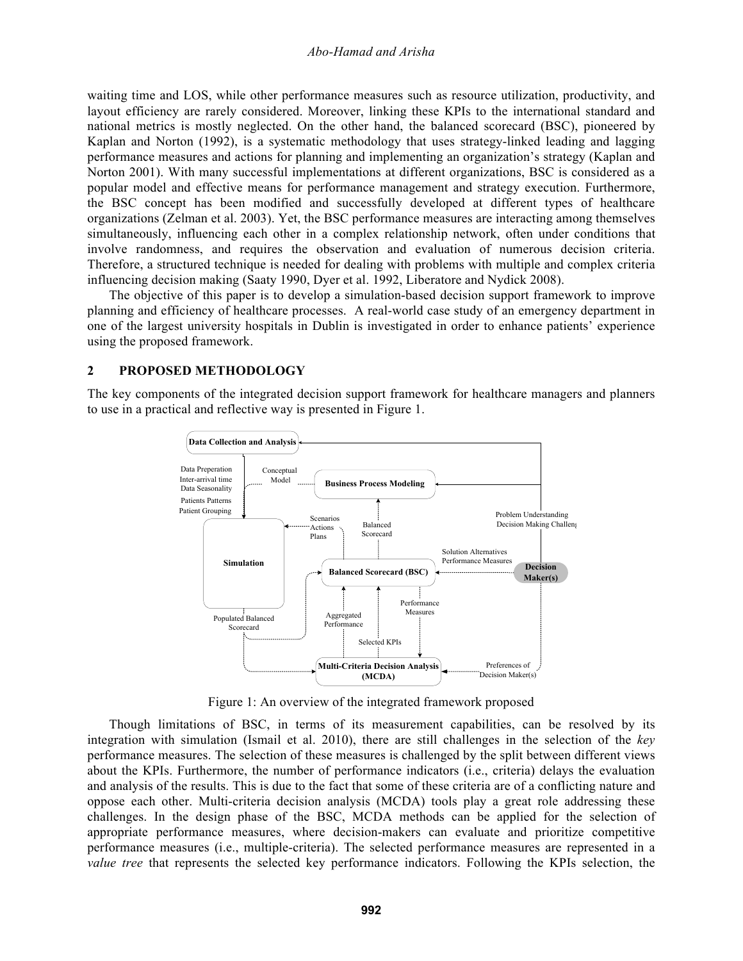waiting time and LOS, while other performance measures such as resource utilization, productivity, and layout efficiency are rarely considered. Moreover, linking these KPIs to the international standard and national metrics is mostly neglected. On the other hand, the balanced scorecard (BSC), pioneered by Kaplan and Norton (1992), is a systematic methodology that uses strategy-linked leading and lagging performance measures and actions for planning and implementing an organization's strategy (Kaplan and Norton 2001). With many successful implementations at different organizations, BSC is considered as a popular model and effective means for performance management and strategy execution. Furthermore, the BSC concept has been modified and successfully developed at different types of healthcare organizations (Zelman et al. 2003). Yet, the BSC performance measures are interacting among themselves simultaneously, influencing each other in a complex relationship network, often under conditions that involve randomness, and requires the observation and evaluation of numerous decision criteria. Therefore, a structured technique is needed for dealing with problems with multiple and complex criteria influencing decision making (Saaty 1990, Dyer et al. 1992, Liberatore and Nydick 2008).

 The objective of this paper is to develop a simulation-based decision support framework to improve planning and efficiency of healthcare processes. A real-world case study of an emergency department in one of the largest university hospitals in Dublin is investigated in order to enhance patients' experience using the proposed framework.

# **2 PROPOSED METHODOLOGY**

The key components of the integrated decision support framework for healthcare managers and planners to use in a practical and reflective way is presented in Figure 1.



Figure 1: An overview of the integrated framework proposed

 Though limitations of BSC, in terms of its measurement capabilities, can be resolved by its integration with simulation (Ismail et al. 2010), there are still challenges in the selection of the *key* performance measures. The selection of these measures is challenged by the split between different views about the KPIs. Furthermore, the number of performance indicators (i.e., criteria) delays the evaluation and analysis of the results. This is due to the fact that some of these criteria are of a conflicting nature and oppose each other. Multi-criteria decision analysis (MCDA) tools play a great role addressing these challenges. In the design phase of the BSC, MCDA methods can be applied for the selection of appropriate performance measures, where decision-makers can evaluate and prioritize competitive performance measures (i.e., multiple-criteria). The selected performance measures are represented in a *value tree* that represents the selected key performance indicators. Following the KPIs selection, the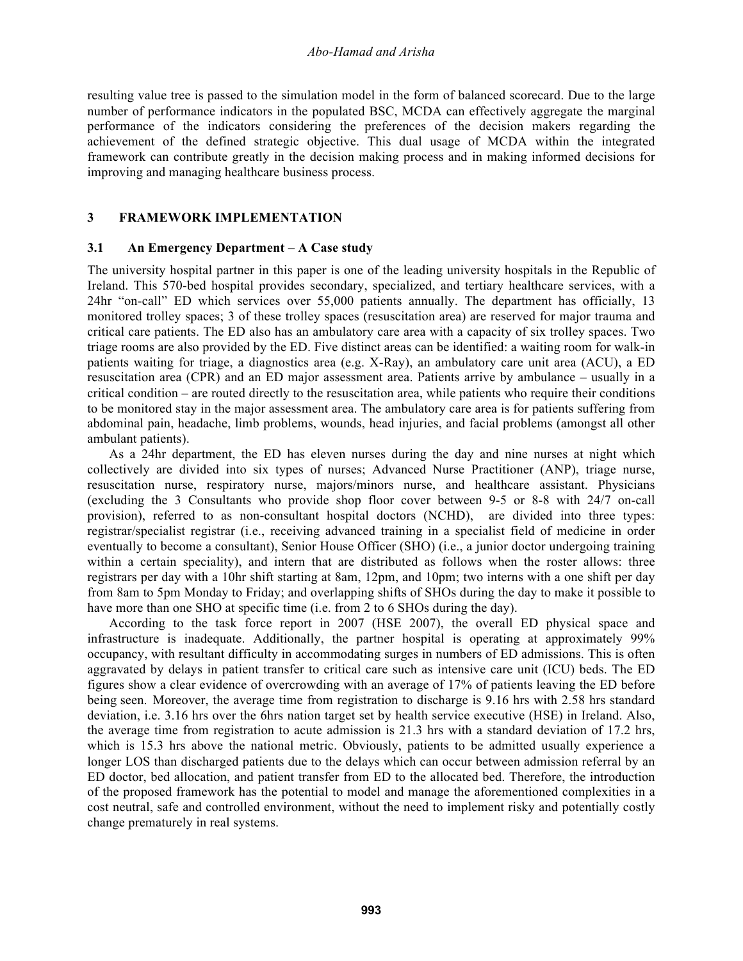resulting value tree is passed to the simulation model in the form of balanced scorecard. Due to the large number of performance indicators in the populated BSC, MCDA can effectively aggregate the marginal performance of the indicators considering the preferences of the decision makers regarding the achievement of the defined strategic objective. This dual usage of MCDA within the integrated framework can contribute greatly in the decision making process and in making informed decisions for improving and managing healthcare business process.

## **3 FRAMEWORK IMPLEMENTATION**

### **3.1 An Emergency Department – A Case study**

The university hospital partner in this paper is one of the leading university hospitals in the Republic of Ireland. This 570-bed hospital provides secondary, specialized, and tertiary healthcare services, with a 24hr "on-call" ED which services over 55,000 patients annually. The department has officially, 13 monitored trolley spaces; 3 of these trolley spaces (resuscitation area) are reserved for major trauma and critical care patients. The ED also has an ambulatory care area with a capacity of six trolley spaces. Two triage rooms are also provided by the ED. Five distinct areas can be identified: a waiting room for walk-in patients waiting for triage, a diagnostics area (e.g. X-Ray), an ambulatory care unit area (ACU), a ED resuscitation area (CPR) and an ED major assessment area. Patients arrive by ambulance – usually in a critical condition – are routed directly to the resuscitation area, while patients who require their conditions to be monitored stay in the major assessment area. The ambulatory care area is for patients suffering from abdominal pain, headache, limb problems, wounds, head injuries, and facial problems (amongst all other ambulant patients).

 As a 24hr department, the ED has eleven nurses during the day and nine nurses at night which collectively are divided into six types of nurses; Advanced Nurse Practitioner (ANP), triage nurse, resuscitation nurse, respiratory nurse, majors/minors nurse, and healthcare assistant. Physicians (excluding the 3 Consultants who provide shop floor cover between 9-5 or 8-8 with 24/7 on-call provision), referred to as non-consultant hospital doctors (NCHD), are divided into three types: registrar/specialist registrar (i.e., receiving advanced training in a specialist field of medicine in order eventually to become a consultant), Senior House Officer (SHO) (i.e., a junior doctor undergoing training within a certain speciality), and intern that are distributed as follows when the roster allows: three registrars per day with a 10hr shift starting at 8am, 12pm, and 10pm; two interns with a one shift per day from 8am to 5pm Monday to Friday; and overlapping shifts of SHOs during the day to make it possible to have more than one SHO at specific time (i.e. from 2 to 6 SHOs during the day).

 According to the task force report in 2007 (HSE 2007), the overall ED physical space and infrastructure is inadequate. Additionally, the partner hospital is operating at approximately 99% occupancy, with resultant difficulty in accommodating surges in numbers of ED admissions. This is often aggravated by delays in patient transfer to critical care such as intensive care unit (ICU) beds. The ED figures show a clear evidence of overcrowding with an average of 17% of patients leaving the ED before being seen. Moreover, the average time from registration to discharge is 9.16 hrs with 2.58 hrs standard deviation, i.e. 3.16 hrs over the 6hrs nation target set by health service executive (HSE) in Ireland. Also, the average time from registration to acute admission is 21.3 hrs with a standard deviation of 17.2 hrs, which is 15.3 hrs above the national metric. Obviously, patients to be admitted usually experience a longer LOS than discharged patients due to the delays which can occur between admission referral by an ED doctor, bed allocation, and patient transfer from ED to the allocated bed. Therefore, the introduction of the proposed framework has the potential to model and manage the aforementioned complexities in a cost neutral, safe and controlled environment, without the need to implement risky and potentially costly change prematurely in real systems.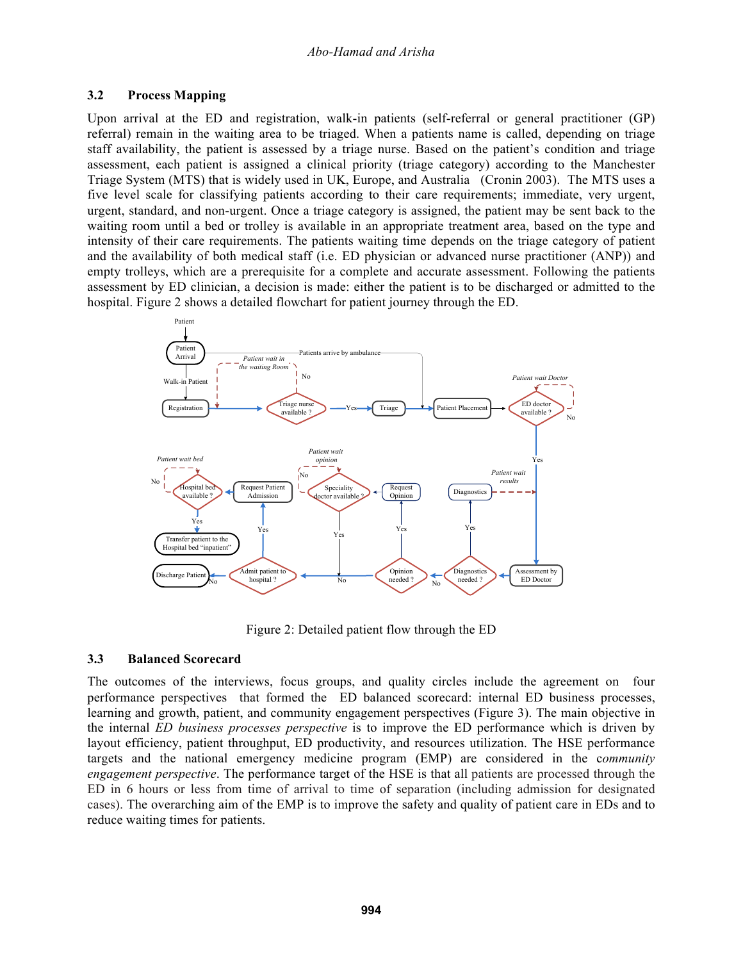## **3.2 Process Mapping**

Upon arrival at the ED and registration, walk-in patients (self-referral or general practitioner (GP) referral) remain in the waiting area to be triaged. When a patients name is called, depending on triage staff availability, the patient is assessed by a triage nurse. Based on the patient's condition and triage assessment, each patient is assigned a clinical priority (triage category) according to the Manchester Triage System (MTS) that is widely used in UK, Europe, and Australia (Cronin 2003). The MTS uses a five level scale for classifying patients according to their care requirements; immediate, very urgent, urgent, standard, and non-urgent. Once a triage category is assigned, the patient may be sent back to the waiting room until a bed or trolley is available in an appropriate treatment area, based on the type and intensity of their care requirements. The patients waiting time depends on the triage category of patient and the availability of both medical staff (i.e. ED physician or advanced nurse practitioner (ANP)) and empty trolleys, which are a prerequisite for a complete and accurate assessment. Following the patients assessment by ED clinician, a decision is made: either the patient is to be discharged or admitted to the hospital. Figure 2 shows a detailed flowchart for patient journey through the ED.



Figure 2: Detailed patient flow through the ED

## **3.3 Balanced Scorecard**

The outcomes of the interviews, focus groups, and quality circles include the agreement on four performance perspectives that formed the ED balanced scorecard: internal ED business processes, learning and growth, patient, and community engagement perspectives (Figure 3). The main objective in the internal *ED business processes perspective* is to improve the ED performance which is driven by layout efficiency, patient throughput, ED productivity, and resources utilization. The HSE performance targets and the national emergency medicine program (EMP) are considered in the c*ommunity engagement perspective*. The performance target of the HSE is that all patients are processed through the ED in 6 hours or less from time of arrival to time of separation (including admission for designated cases). The overarching aim of the EMP is to improve the safety and quality of patient care in EDs and to reduce waiting times for patients.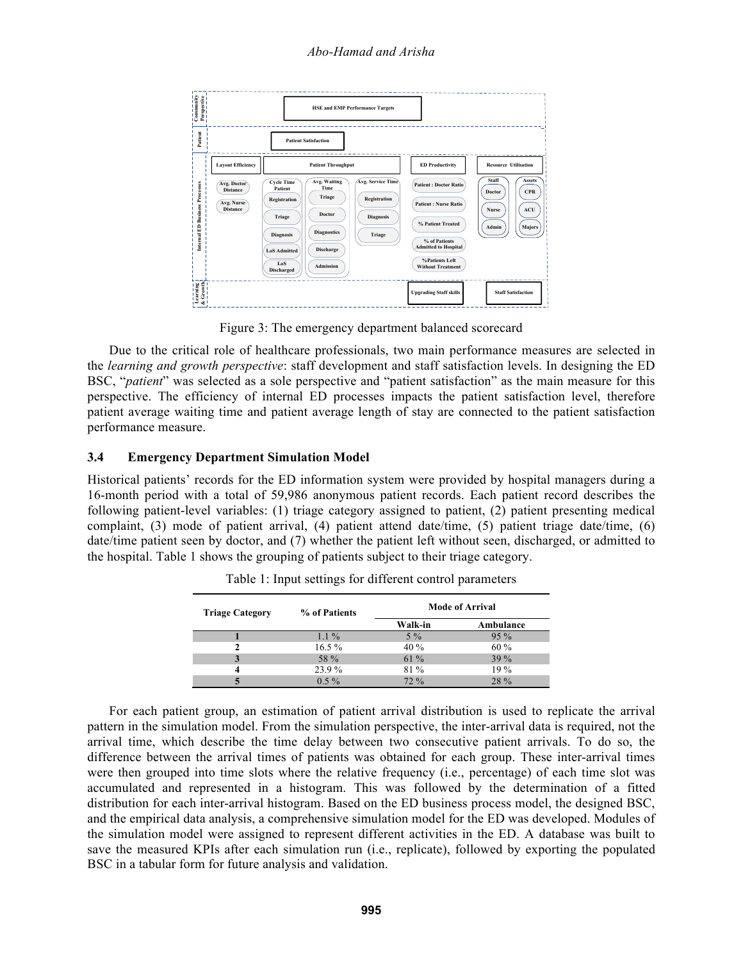

Figure 3: The emergency department balanced scorecard

 Due to the critical role of healthcare professionals, two main performance measures are selected in the *learning and growth perspective*: staff development and staff satisfaction levels. In designing the ED BSC, "*patient*" was selected as a sole perspective and "patient satisfaction" as the main measure for this perspective. The efficiency of internal ED processes impacts the patient satisfaction level, therefore patient average waiting time and patient average length of stay are connected to the patient satisfaction performance measure.

## **3.4 Emergency Department Simulation Model**

Historical patients' records for the ED information system were provided by hospital managers during a 16-month period with a total of 59,986 anonymous patient records. Each patient record describes the following patient-level variables: (1) triage category assigned to patient, (2) patient presenting medical complaint, (3) mode of patient arrival, (4) patient attend date/time, (5) patient triage date/time, (6) date/time patient seen by doctor, and (7) whether the patient left without seen, discharged, or admitted to the hospital. Table 1 shows the grouping of patients subject to their triage category.

| <b>Triage Category</b> | % of Patients | <b>Mode of Arrival</b> |           |  |  |
|------------------------|---------------|------------------------|-----------|--|--|
|                        |               | Walk-in                | Ambulance |  |  |
|                        | $1.1\%$       | $5\%$                  | $95\%$    |  |  |
|                        | $16.5\%$      | 40%                    | 60%       |  |  |
|                        | 58 %          | 61%                    | 39 %      |  |  |
|                        | 23.9%         | 81 %                   | 19 %      |  |  |
|                        | $0.5\%$       | 72 %                   | 28 %      |  |  |

Table 1: Input settings for different control parameters

 For each patient group, an estimation of patient arrival distribution is used to replicate the arrival pattern in the simulation model. From the simulation perspective, the inter-arrival data is required, not the arrival time, which describe the time delay between two consecutive patient arrivals. To do so, the difference between the arrival times of patients was obtained for each group. These inter-arrival times were then grouped into time slots where the relative frequency (i.e., percentage) of each time slot was accumulated and represented in a histogram. This was followed by the determination of a fitted distribution for each inter-arrival histogram. Based on the ED business process model, the designed BSC, and the empirical data analysis, a comprehensive simulation model for the ED was developed. Modules of the simulation model were assigned to represent different activities in the ED. A database was built to save the measured KPIs after each simulation run (i.e., replicate), followed by exporting the populated BSC in a tabular form for future analysis and validation.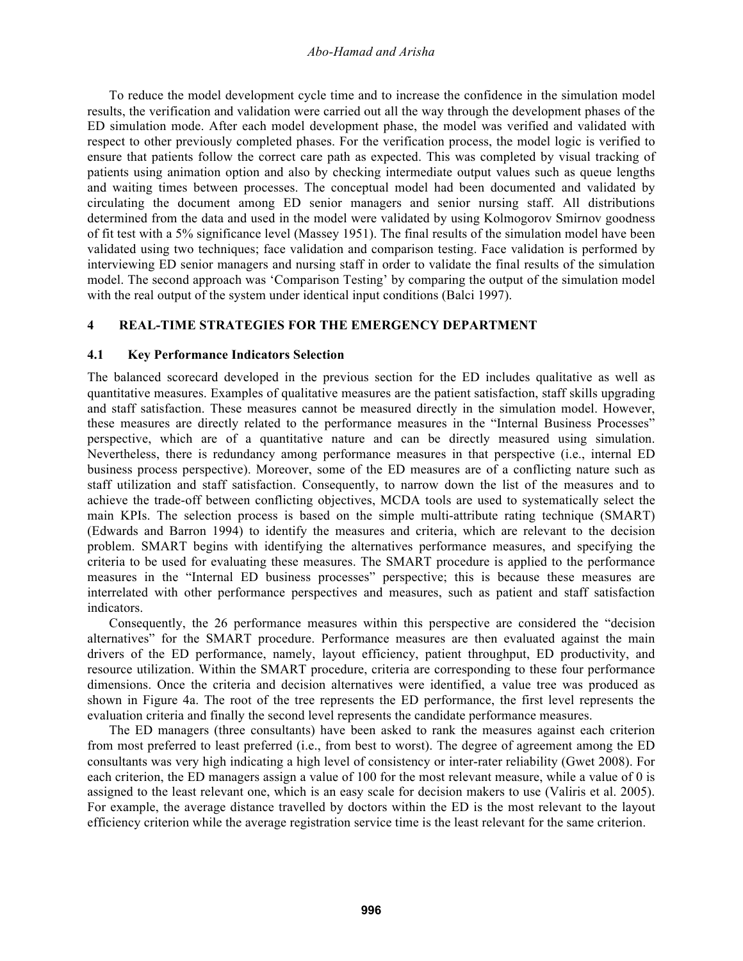To reduce the model development cycle time and to increase the confidence in the simulation model results, the verification and validation were carried out all the way through the development phases of the ED simulation mode. After each model development phase, the model was verified and validated with respect to other previously completed phases. For the verification process, the model logic is verified to ensure that patients follow the correct care path as expected. This was completed by visual tracking of patients using animation option and also by checking intermediate output values such as queue lengths and waiting times between processes. The conceptual model had been documented and validated by circulating the document among ED senior managers and senior nursing staff. All distributions determined from the data and used in the model were validated by using Kolmogorov Smirnov goodness of fit test with a 5% significance level (Massey 1951). The final results of the simulation model have been validated using two techniques; face validation and comparison testing. Face validation is performed by interviewing ED senior managers and nursing staff in order to validate the final results of the simulation model. The second approach was 'Comparison Testing' by comparing the output of the simulation model with the real output of the system under identical input conditions (Balci 1997).

## **4 REAL-TIME STRATEGIES FOR THE EMERGENCY DEPARTMENT**

### **4.1 Key Performance Indicators Selection**

The balanced scorecard developed in the previous section for the ED includes qualitative as well as quantitative measures. Examples of qualitative measures are the patient satisfaction, staff skills upgrading and staff satisfaction. These measures cannot be measured directly in the simulation model. However, these measures are directly related to the performance measures in the "Internal Business Processes" perspective, which are of a quantitative nature and can be directly measured using simulation. Nevertheless, there is redundancy among performance measures in that perspective (i.e., internal ED business process perspective). Moreover, some of the ED measures are of a conflicting nature such as staff utilization and staff satisfaction. Consequently, to narrow down the list of the measures and to achieve the trade-off between conflicting objectives, MCDA tools are used to systematically select the main KPIs. The selection process is based on the simple multi-attribute rating technique (SMART) (Edwards and Barron 1994) to identify the measures and criteria, which are relevant to the decision problem. SMART begins with identifying the alternatives performance measures, and specifying the criteria to be used for evaluating these measures. The SMART procedure is applied to the performance measures in the "Internal ED business processes" perspective; this is because these measures are interrelated with other performance perspectives and measures, such as patient and staff satisfaction indicators.

 Consequently, the 26 performance measures within this perspective are considered the "decision alternatives" for the SMART procedure. Performance measures are then evaluated against the main drivers of the ED performance, namely, layout efficiency, patient throughput, ED productivity, and resource utilization. Within the SMART procedure, criteria are corresponding to these four performance dimensions. Once the criteria and decision alternatives were identified, a value tree was produced as shown in Figure 4a. The root of the tree represents the ED performance, the first level represents the evaluation criteria and finally the second level represents the candidate performance measures.

 The ED managers (three consultants) have been asked to rank the measures against each criterion from most preferred to least preferred (i.e., from best to worst). The degree of agreement among the ED consultants was very high indicating a high level of consistency or inter-rater reliability (Gwet 2008). For each criterion, the ED managers assign a value of 100 for the most relevant measure, while a value of 0 is assigned to the least relevant one, which is an easy scale for decision makers to use (Valiris et al. 2005). For example, the average distance travelled by doctors within the ED is the most relevant to the layout efficiency criterion while the average registration service time is the least relevant for the same criterion.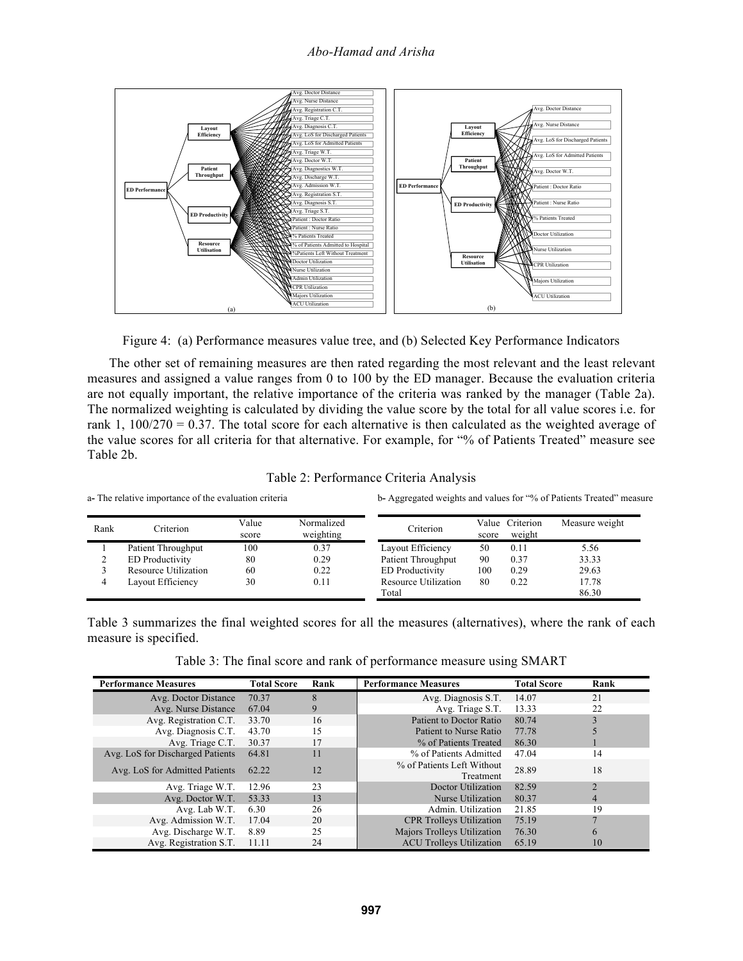

Figure 4: (a) Performance measures value tree, and (b) Selected Key Performance Indicators

 The other set of remaining measures are then rated regarding the most relevant and the least relevant measures and assigned a value ranges from 0 to 100 by the ED manager. Because the evaluation criteria are not equally important, the relative importance of the criteria was ranked by the manager (Table 2a). The normalized weighting is calculated by dividing the value score by the total for all value scores i.e. for rank 1, 100/270 = 0.37. The total score for each alternative is then calculated as the weighted average of the value scores for all criteria for that alternative. For example, for "% of Patients Treated" measure see Table 2b.

Table 2: Performance Criteria Analysis

| Rank | Value<br>Criterion<br>score |     | Normalized<br>weighting | Criterion              | Value Criterion<br>weight<br>score |      | Measure weight |  |
|------|-----------------------------|-----|-------------------------|------------------------|------------------------------------|------|----------------|--|
|      | Patient Throughput          | 100 | 0.37                    | Layout Efficiency      | 50                                 | 0.11 | 5.56           |  |
|      | <b>ED</b> Productivity      | 80  | 0.29                    | Patient Throughput     | 90                                 | 0.37 | 33.33          |  |
|      | <b>Resource Utilization</b> | 60  | 0.22                    | <b>ED</b> Productivity | 100                                | 0.29 | 29.63          |  |
| 4    | Layout Efficiency           | 30  | 0.11                    | Resource Utilization   | 80                                 | 0.22 | 17.78          |  |
|      |                             |     |                         | Total                  |                                    |      | 86.30          |  |

a**-** The relative importance of the evaluation criteria

b**-** Aggregated weights and values for "% of Patients Treated" measure

Table 3 summarizes the final weighted scores for all the measures (alternatives), where the rank of each measure is specified.

Table 3: The final score and rank of performance measure using SMART

| <b>Performance Measures</b>      | <b>Total Score</b> | Rank | <b>Performance Measures</b>     | <b>Total Score</b> | Rank           |
|----------------------------------|--------------------|------|---------------------------------|--------------------|----------------|
| Avg. Doctor Distance             | 70.37              | 8    | Avg. Diagnosis S.T.             | 14.07              | 21             |
| Avg. Nurse Distance              | 67.04              | 9    | Avg. Triage S.T.                | 13.33              | 22             |
| Avg. Registration C.T.           | 33.70              | 16   | Patient to Doctor Ratio         | 80.74              | 3              |
| Avg. Diagnosis C.T.              | 43.70              | 15   | Patient to Nurse Ratio          | 77.78              |                |
| Avg. Triage C.T.                 | 30.37              | 17   | % of Patients Treated           | 86.30              |                |
| Avg. LoS for Discharged Patients | 64.81              | 11   | % of Patients Admitted          | 47.04              | 14             |
| Avg. LoS for Admitted Patients   | 62.22              | 12   | % of Patients Left Without      | 28.89              | 18             |
|                                  |                    |      | Treatment                       |                    |                |
| Avg. Triage W.T.                 | 12.96              | 23   | Doctor Utilization              | 82.59              | $\overline{2}$ |
| Avg. Doctor W.T.                 | 53.33              | 13   | Nurse Utilization               | 80.37              |                |
| Avg. Lab W.T.                    | 6.30               | 26   | Admin. Utilization              | 21.85              | 19             |
| Avg. Admission W.T.              | 17.04              | 20   | <b>CPR</b> Trolleys Utilization | 75.19              | $\overline{7}$ |
| Avg. Discharge W.T.              | 8.89               | 25   | Majors Trolleys Utilization     | 76.30              | 6              |
| Avg. Registration S.T.           | 11.11              | 24   | <b>ACU Trollevs Utilization</b> | 65.19              | 10             |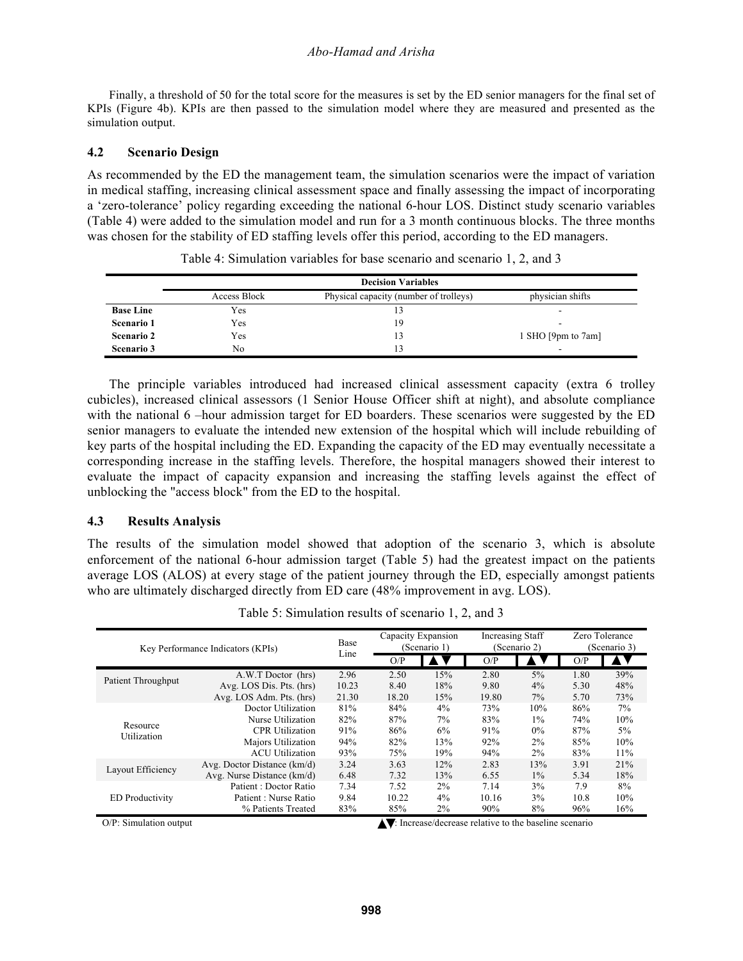Finally, a threshold of 50 for the total score for the measures is set by the ED senior managers for the final set of KPIs (Figure 4b). KPIs are then passed to the simulation model where they are measured and presented as the simulation output.

### **4.2 Scenario Design**

As recommended by the ED the management team, the simulation scenarios were the impact of variation in medical staffing, increasing clinical assessment space and finally assessing the impact of incorporating a 'zero-tolerance' policy regarding exceeding the national 6-hour LOS. Distinct study scenario variables (Table 4) were added to the simulation model and run for a 3 month continuous blocks. The three months was chosen for the stability of ED staffing levels offer this period, according to the ED managers.

|                   |                     | <b>Decision Variables</b>              |                    |
|-------------------|---------------------|----------------------------------------|--------------------|
|                   | <b>Access Block</b> | Physical capacity (number of trolleys) | physician shifts   |
| <b>Base Line</b>  | Yes                 |                                        |                    |
| Scenario 1        | Yes                 | 19                                     |                    |
| <b>Scenario 2</b> | Yes                 | 13                                     | 1 SHO [9pm to 7am] |
| <b>Scenario 3</b> | No                  |                                        |                    |

Table 4: Simulation variables for base scenario and scenario 1, 2, and 3

 The principle variables introduced had increased clinical assessment capacity (extra 6 trolley cubicles), increased clinical assessors (1 Senior House Officer shift at night), and absolute compliance with the national 6 –hour admission target for ED boarders. These scenarios were suggested by the ED senior managers to evaluate the intended new extension of the hospital which will include rebuilding of key parts of the hospital including the ED. Expanding the capacity of the ED may eventually necessitate a corresponding increase in the staffing levels. Therefore, the hospital managers showed their interest to evaluate the impact of capacity expansion and increasing the staffing levels against the effect of unblocking the "access block" from the ED to the hospital.

## **4.3 Results Analysis**

The results of the simulation model showed that adoption of the scenario 3, which is absolute enforcement of the national 6-hour admission target (Table 5) had the greatest impact on the patients average LOS (ALOS) at every stage of the patient journey through the ED, especially amongst patients who are ultimately discharged directly from ED care (48% improvement in avg. LOS).

| Key Performance Indicators (KPIs) |                                                                                                                   |                                 | Capacity Expansion              |                                 | Increasing Staff                |                                      | Zero Tolerance                  |                               |
|-----------------------------------|-------------------------------------------------------------------------------------------------------------------|---------------------------------|---------------------------------|---------------------------------|---------------------------------|--------------------------------------|---------------------------------|-------------------------------|
|                                   |                                                                                                                   |                                 | (Scenario 1)                    |                                 | (Scenario 2)                    |                                      | (Scenario 3)                    |                               |
|                                   | Line                                                                                                              | O/P                             |                                 | O/P                             |                                 | O/P                                  |                                 |                               |
| Patient Throughput                | A.W.T Doctor (hrs)                                                                                                | 2.96                            | 2.50                            | 15%                             | 2.80                            | 5%                                   | 1.80                            | 39%                           |
|                                   | Avg. LOS Dis. Pts. (hrs)                                                                                          | 10.23                           | 8.40                            | 18%                             | 9.80                            | 4%                                   | 5.30                            | 48%                           |
|                                   | Avg. LOS Adm. Pts. (hrs)                                                                                          | 21.30                           | 18.20                           | 15%                             | 19.80                           | $7\%$                                | 5.70                            | 73%                           |
| Resource<br>Utilization           | Doctor Utilization<br>Nurse Utilization<br><b>CPR</b> Utilization<br>Majors Utilization<br><b>ACU Utilization</b> | 81%<br>82%<br>91%<br>94%<br>93% | 84%<br>87%<br>86%<br>82%<br>75% | $4\%$<br>7%<br>6%<br>13%<br>19% | 73%<br>83%<br>91%<br>92%<br>94% | 10%<br>$1\%$<br>$0\%$<br>$2\%$<br>2% | 86%<br>74%<br>87%<br>85%<br>83% | 7%<br>10%<br>5%<br>10%<br>11% |
| Layout Efficiency                 | Avg. Doctor Distance (km/d)                                                                                       | 3.24                            | 3.63                            | 12%                             | 2.83                            | 13%                                  | 3.91                            | 21%                           |
|                                   | Avg. Nurse Distance (km/d)                                                                                        | 6.48                            | 7.32                            | 13%                             | 6.55                            | $1\%$                                | 5.34                            | 18%                           |
| <b>ED</b> Productivity            | Patient: Doctor Ratio                                                                                             | 7.34                            | 7.52                            | 2%                              | 7.14                            | 3%                                   | 7.9                             | 8%                            |
|                                   | Patient: Nurse Ratio                                                                                              | 9.84                            | 10.22                           | $4\%$                           | 10.16                           | 3%                                   | 10.8                            | 10%                           |
|                                   | % Patients Treated                                                                                                | 83%                             | 85%                             | 2%                              | 90%                             | 8%                                   | 96%                             | 16%                           |

Table 5: Simulation results of scenario 1, 2, and 3

 $O/P$ : Simulation output  $\Box$  Increase/decrease relative to the baseline scenario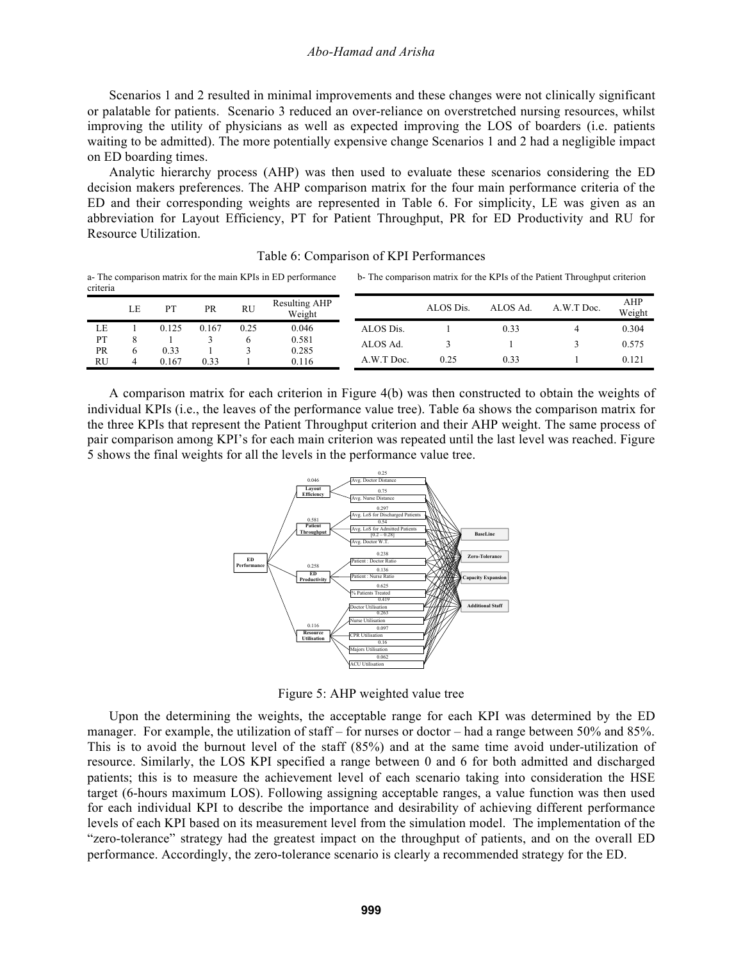Scenarios 1 and 2 resulted in minimal improvements and these changes were not clinically significant or palatable for patients. Scenario 3 reduced an over-reliance on overstretched nursing resources, whilst improving the utility of physicians as well as expected improving the LOS of boarders (i.e. patients waiting to be admitted). The more potentially expensive change Scenarios 1 and 2 had a negligible impact on ED boarding times.

 Analytic hierarchy process (AHP) was then used to evaluate these scenarios considering the ED decision makers preferences. The AHP comparison matrix for the four main performance criteria of the ED and their corresponding weights are represented in Table 6. For simplicity, LE was given as an abbreviation for Layout Efficiency, PT for Patient Throughput, PR for ED Productivity and RU for Resource Utilization.

| criteria |    |       |           |      |                         |            |           |          |            |               |
|----------|----|-------|-----------|------|-------------------------|------------|-----------|----------|------------|---------------|
|          | LE | PT    | <b>PR</b> | RU   | Resulting AHP<br>Weight |            | ALOS Dis. | ALOS Ad. | A.W.T Doc. | AHP<br>Weight |
| LE       |    | 0.125 | 0.167     | 0.25 | 0.046                   | ALOS Dis.  |           | 0.33     |            | 0.304         |
| PT       |    |       |           |      | 0.581                   | ALOS Ad.   |           |          |            | 0.575         |
| PR       | 6  | 0.33  |           |      | 0.285                   |            |           |          |            |               |
| RU       | 4  | 0.167 | 0.33      |      | 0.116                   | A.W.T Doc. | 0.25      | 0.33     |            | 0.121         |

Table 6: Comparison of KPI Performances

b- The comparison matrix for the KPIs of the Patient Throughput criterion

a- The comparison matrix for the main KPIs in ED performance

 A comparison matrix for each criterion in Figure 4(b) was then constructed to obtain the weights of individual KPIs (i.e., the leaves of the performance value tree). Table 6a shows the comparison matrix for the three KPIs that represent the Patient Throughput criterion and their AHP weight. The same process of pair comparison among KPI's for each main criterion was repeated until the last level was reached. Figure 5 shows the final weights for all the levels in the performance value tree.



Figure 5: AHP weighted value tree

 Upon the determining the weights, the acceptable range for each KPI was determined by the ED manager. For example, the utilization of staff – for nurses or doctor – had a range between 50% and 85%. This is to avoid the burnout level of the staff (85%) and at the same time avoid under-utilization of resource. Similarly, the LOS KPI specified a range between 0 and 6 for both admitted and discharged patients; this is to measure the achievement level of each scenario taking into consideration the HSE target (6-hours maximum LOS). Following assigning acceptable ranges, a value function was then used for each individual KPI to describe the importance and desirability of achieving different performance levels of each KPI based on its measurement level from the simulation model. The implementation of the "zero-tolerance" strategy had the greatest impact on the throughput of patients, and on the overall ED performance. Accordingly, the zero-tolerance scenario is clearly a recommended strategy for the ED.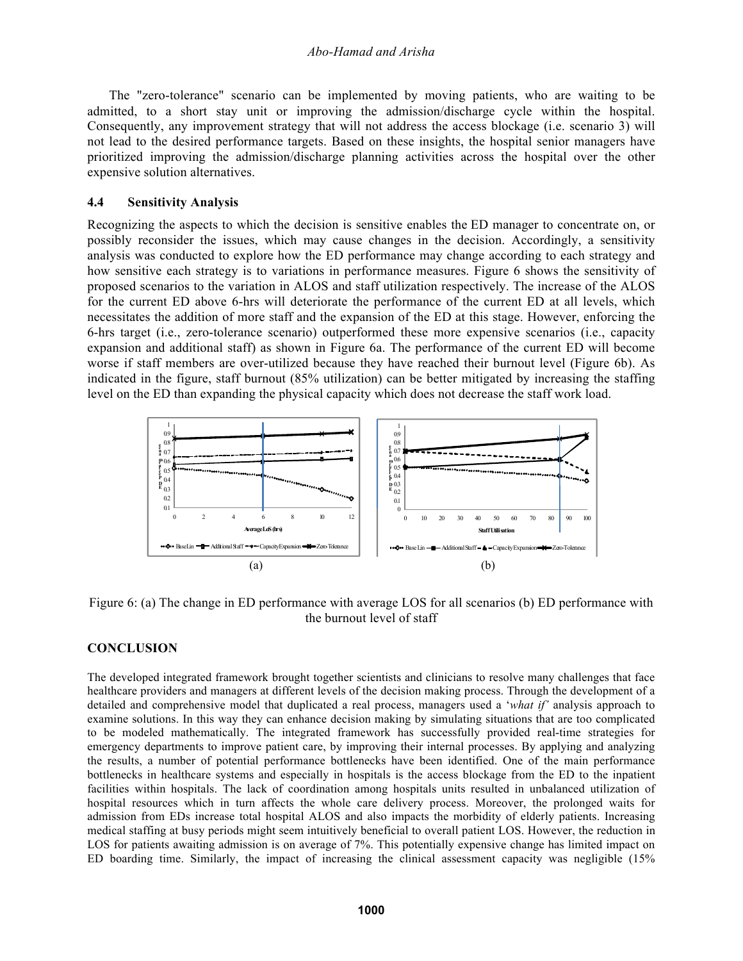The "zero-tolerance" scenario can be implemented by moving patients, who are waiting to be admitted, to a short stay unit or improving the admission/discharge cycle within the hospital. Consequently, any improvement strategy that will not address the access blockage (i.e. scenario 3) will not lead to the desired performance targets. Based on these insights, the hospital senior managers have prioritized improving the admission/discharge planning activities across the hospital over the other expensive solution alternatives.

### **4.4 Sensitivity Analysis**

Recognizing the aspects to which the decision is sensitive enables the ED manager to concentrate on, or possibly reconsider the issues, which may cause changes in the decision. Accordingly, a sensitivity analysis was conducted to explore how the ED performance may change according to each strategy and how sensitive each strategy is to variations in performance measures. Figure 6 shows the sensitivity of proposed scenarios to the variation in ALOS and staff utilization respectively. The increase of the ALOS for the current ED above 6-hrs will deteriorate the performance of the current ED at all levels, which necessitates the addition of more staff and the expansion of the ED at this stage. However, enforcing the 6-hrs target (i.e., zero-tolerance scenario) outperformed these more expensive scenarios (i.e., capacity expansion and additional staff) as shown in Figure 6a. The performance of the current ED will become worse if staff members are over-utilized because they have reached their burnout level (Figure 6b). As indicated in the figure, staff burnout (85% utilization) can be better mitigated by increasing the staffing level on the ED than expanding the physical capacity which does not decrease the staff work load.



Figure 6: (a) The change in ED performance with average LOS for all scenarios (b) ED performance with the burnout level of staff

## **CONCLUSION**

The developed integrated framework brought together scientists and clinicians to resolve many challenges that face healthcare providers and managers at different levels of the decision making process. Through the development of a detailed and comprehensive model that duplicated a real process, managers used a '*what if'* analysis approach to examine solutions. In this way they can enhance decision making by simulating situations that are too complicated to be modeled mathematically. The integrated framework has successfully provided real-time strategies for emergency departments to improve patient care, by improving their internal processes. By applying and analyzing the results, a number of potential performance bottlenecks have been identified. One of the main performance bottlenecks in healthcare systems and especially in hospitals is the access blockage from the ED to the inpatient facilities within hospitals. The lack of coordination among hospitals units resulted in unbalanced utilization of hospital resources which in turn affects the whole care delivery process. Moreover, the prolonged waits for admission from EDs increase total hospital ALOS and also impacts the morbidity of elderly patients. Increasing medical staffing at busy periods might seem intuitively beneficial to overall patient LOS. However, the reduction in LOS for patients awaiting admission is on average of 7%. This potentially expensive change has limited impact on ED boarding time. Similarly, the impact of increasing the clinical assessment capacity was negligible (15%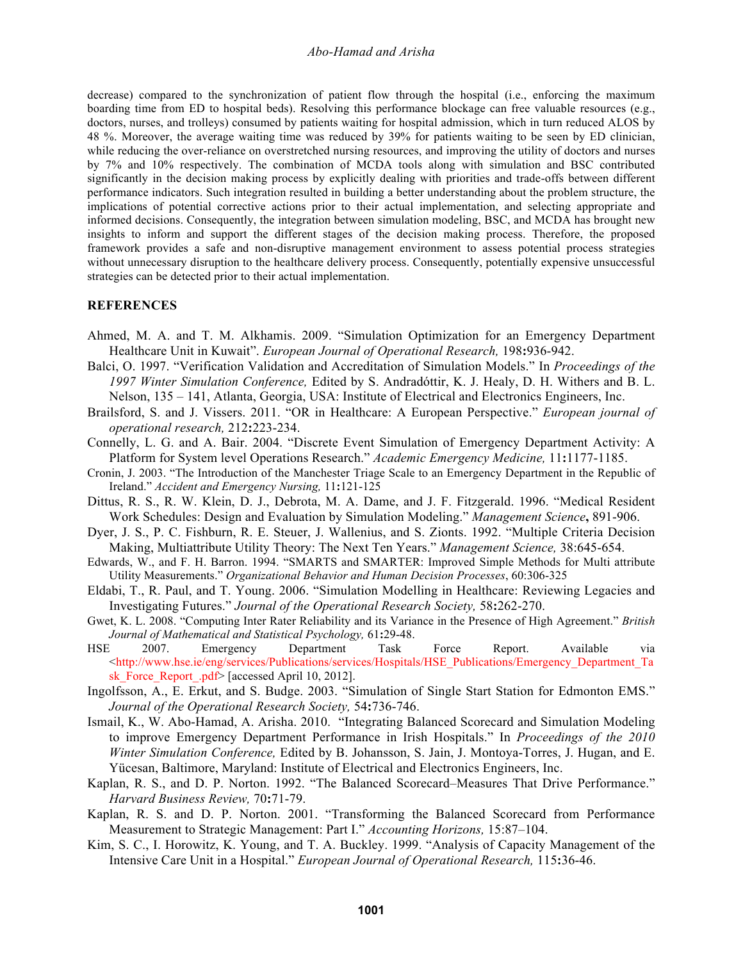decrease) compared to the synchronization of patient flow through the hospital (i.e., enforcing the maximum boarding time from ED to hospital beds). Resolving this performance blockage can free valuable resources (e.g., doctors, nurses, and trolleys) consumed by patients waiting for hospital admission, which in turn reduced ALOS by 48 %. Moreover, the average waiting time was reduced by 39% for patients waiting to be seen by ED clinician, while reducing the over-reliance on overstretched nursing resources, and improving the utility of doctors and nurses by 7% and 10% respectively. The combination of MCDA tools along with simulation and BSC contributed significantly in the decision making process by explicitly dealing with priorities and trade-offs between different performance indicators. Such integration resulted in building a better understanding about the problem structure, the implications of potential corrective actions prior to their actual implementation, and selecting appropriate and informed decisions. Consequently, the integration between simulation modeling, BSC, and MCDA has brought new insights to inform and support the different stages of the decision making process. Therefore, the proposed framework provides a safe and non-disruptive management environment to assess potential process strategies without unnecessary disruption to the healthcare delivery process. Consequently, potentially expensive unsuccessful strategies can be detected prior to their actual implementation.

#### **REFERENCES**

- Ahmed, M. A. and T. M. Alkhamis. 2009. "Simulation Optimization for an Emergency Department Healthcare Unit in Kuwait". *European Journal of Operational Research,* 198**:**936-942.
- Balci, O. 1997. "Verification Validation and Accreditation of Simulation Models." In *Proceedings of the 1997 Winter Simulation Conference,* Edited by S. Andradóttir, K. J. Healy, D. H. Withers and B. L. Nelson, 135 – 141, Atlanta, Georgia, USA: Institute of Electrical and Electronics Engineers, Inc.
- Brailsford, S. and J. Vissers. 2011. "OR in Healthcare: A European Perspective." *European journal of operational research,* 212**:**223-234.
- Connelly, L. G. and A. Bair. 2004. "Discrete Event Simulation of Emergency Department Activity: A Platform for System level Operations Research." *Academic Emergency Medicine,* 11**:**1177-1185.
- Cronin, J. 2003. "The Introduction of the Manchester Triage Scale to an Emergency Department in the Republic of Ireland." *Accident and Emergency Nursing,* 11**:**121-125
- Dittus, R. S., R. W. Klein, D. J., Debrota, M. A. Dame, and J. F. Fitzgerald. 1996. "Medical Resident Work Schedules: Design and Evaluation by Simulation Modeling." *Management Science***,** 891-906.
- Dyer, J. S., P. C. Fishburn, R. E. Steuer, J. Wallenius, and S. Zionts. 1992. "Multiple Criteria Decision Making, Multiattribute Utility Theory: The Next Ten Years." *Management Science,* 38:645-654.
- Edwards, W., and F. H. Barron. 1994. "SMARTS and SMARTER: Improved Simple Methods for Multi attribute Utility Measurements." *Organizational Behavior and Human Decision Processes*, 60:306-325
- Eldabi, T., R. Paul, and T. Young. 2006. "Simulation Modelling in Healthcare: Reviewing Legacies and Investigating Futures." *Journal of the Operational Research Society,* 58**:**262-270.
- Gwet, K. L. 2008. "Computing Inter Rater Reliability and its Variance in the Presence of High Agreement." *British Journal of Mathematical and Statistical Psychology,* 61**:**29-48.
- HSE 2007. Emergency Department Task Force Report. Available via  $\langle$ http://www.hse.ie/eng/services/Publications/services/Hospitals/HSE\_Publications/Emergency\_Department\_Ta sk Force Report .pdf> [accessed April 10, 2012].
- Ingolfsson, A., E. Erkut, and S. Budge. 2003. "Simulation of Single Start Station for Edmonton EMS." *Journal of the Operational Research Society,* 54**:**736-746.
- Ismail, K., W. Abo-Hamad, A. Arisha. 2010. "Integrating Balanced Scorecard and Simulation Modeling to improve Emergency Department Performance in Irish Hospitals." In *Proceedings of the 2010 Winter Simulation Conference,* Edited by B. Johansson, S. Jain, J. Montoya-Torres, J. Hugan, and E. Yücesan, Baltimore, Maryland: Institute of Electrical and Electronics Engineers, Inc.
- Kaplan, R. S., and D. P. Norton. 1992. "The Balanced Scorecard–Measures That Drive Performance." *Harvard Business Review,* 70**:**71-79.
- Kaplan, R. S. and D. P. Norton. 2001. "Transforming the Balanced Scorecard from Performance Measurement to Strategic Management: Part I." *Accounting Horizons,* 15:87–104.
- Kim, S. C., I. Horowitz, K. Young, and T. A. Buckley. 1999. "Analysis of Capacity Management of the Intensive Care Unit in a Hospital." *European Journal of Operational Research,* 115**:**36-46.